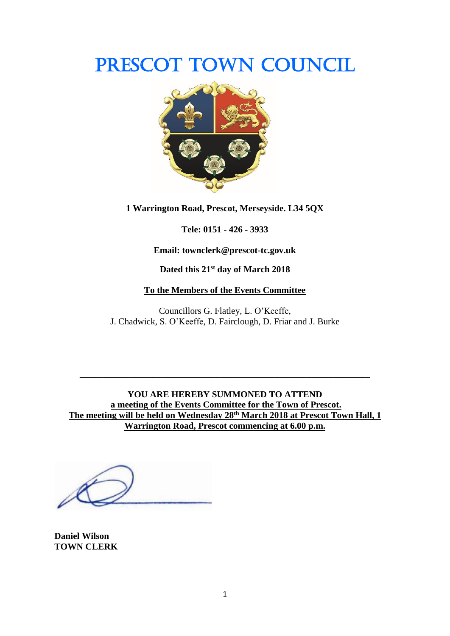# PRESCOT TOWN COUNCIL



**1 Warrington Road, Prescot, Merseyside. L34 5QX**

**Tele: 0151 - 426 - 3933**

**Email: townclerk@prescot-tc.gov.uk**

**Dated this 21 st day of March 2018**

## **To the Members of the Events Committee**

Councillors G. Flatley, L. O'Keeffe, J. Chadwick, S. O'Keeffe, D. Fairclough, D. Friar and J. Burke

**YOU ARE HEREBY SUMMONED TO ATTEND a meeting of the Events Committee for the Town of Prescot. The meeting will be held on Wednesday 28th March 2018 at Prescot Town Hall, 1 Warrington Road, Prescot commencing at 6.00 p.m.**

**\_\_\_\_\_\_\_\_\_\_\_\_\_\_\_\_\_\_\_\_\_\_\_\_\_\_\_\_\_\_\_\_\_\_\_\_\_\_\_\_\_\_\_\_\_\_\_\_\_\_\_\_\_\_\_\_\_\_\_\_\_\_\_\_**

**Daniel Wilson TOWN CLERK**